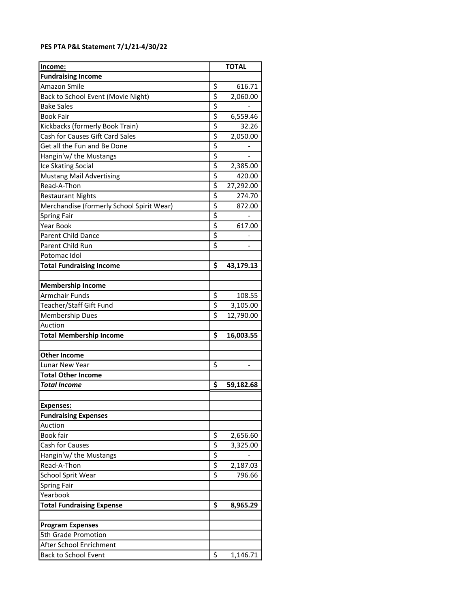## PES PTA P&L Statement 7/1/21-4/30/22

| Income:                                   |                                     | <b>TOTAL</b> |
|-------------------------------------------|-------------------------------------|--------------|
| <b>Fundraising Income</b>                 |                                     |              |
| Amazon Smile                              | \$                                  | 616.71       |
| Back to School Event (Movie Night)        | \$                                  | 2,060.00     |
| <b>Bake Sales</b>                         | \$                                  |              |
| <b>Book Fair</b>                          | $\overline{\mathsf{S}}$             | 6,559.46     |
| Kickbacks (formerly Book Train)           | \$                                  | 32.26        |
| Cash for Causes Gift Card Sales           | $\overline{\xi}$                    | 2,050.00     |
| Get all the Fun and Be Done               | $\overline{\xi}$                    |              |
| Hangin'w/ the Mustangs                    | $\overline{\xi}$                    |              |
| Ice Skating Social                        | \$                                  | 2,385.00     |
| <b>Mustang Mail Advertising</b>           | $\overline{\xi}$                    | 420.00       |
| Read-A-Thon                               | $\overline{\xi}$                    | 27,292.00    |
| <b>Restaurant Nights</b>                  | $\overline{\xi}$                    | 274.70       |
| Merchandise (formerly School Spirit Wear) | \$                                  | 872.00       |
| <b>Spring Fair</b>                        | \$                                  |              |
| <b>Year Book</b>                          | \$                                  | 617.00       |
| <b>Parent Child Dance</b>                 | $\overline{\mathsf{S}}$             | -            |
| Parent Child Run                          | $\overline{\boldsymbol{\varsigma}}$ |              |
| Potomac Idol                              |                                     |              |
| <b>Total Fundraising Income</b>           | \$                                  | 43,179.13    |
|                                           |                                     |              |
| <b>Membership Income</b>                  |                                     |              |
| Armchair Funds                            | \$                                  | 108.55       |
| Teacher/Staff Gift Fund                   | \$                                  | 3,105.00     |
| <b>Membership Dues</b>                    | $\overline{\boldsymbol{\varsigma}}$ | 12,790.00    |
| Auction                                   |                                     |              |
| <b>Total Membership Income</b>            | \$                                  | 16,003.55    |
|                                           |                                     |              |
| <b>Other Income</b>                       |                                     |              |
| Lunar New Year                            | \$                                  |              |
| <b>Total Other Income</b>                 |                                     |              |
| <u>Total Income</u>                       | \$                                  | 59,182.68    |
|                                           |                                     |              |
| Expenses:                                 |                                     |              |
| <b>Fundraising Expenses</b>               |                                     |              |
| Auction                                   |                                     |              |
| Book fair                                 | \$                                  | 2,656.60     |
| Cash for Causes                           | $\overline{\mathsf{S}}$             | 3,325.00     |
| Hangin'w/ the Mustangs                    | \$                                  |              |
| Read-A-Thon                               | $\overline{\xi}$                    | 2,187.03     |
| <b>School Sprit Wear</b>                  | \$                                  | 796.66       |
| <b>Spring Fair</b>                        |                                     |              |
| Yearbook                                  |                                     |              |
| <b>Total Fundraising Expense</b>          | \$                                  | 8,965.29     |
|                                           |                                     |              |
| <b>Program Expenses</b>                   |                                     |              |
| 5th Grade Promotion                       |                                     |              |
| After School Enrichment                   |                                     |              |
| <b>Back to School Event</b>               | \$                                  | 1,146.71     |